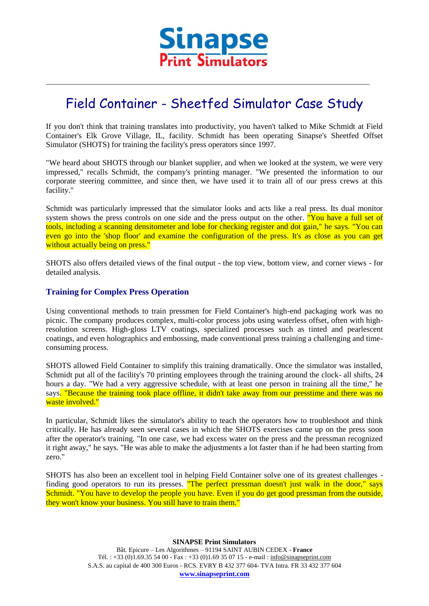

# Field Container - Sheetfed Simulator Case Study

\_\_\_\_\_\_\_\_\_\_\_\_\_\_\_\_\_\_\_\_\_\_\_\_\_\_\_\_\_\_\_\_\_\_\_\_\_\_\_\_\_\_\_\_\_\_\_\_\_\_\_\_\_\_\_\_\_\_\_\_\_\_\_\_\_\_\_\_\_\_\_\_\_\_\_\_\_\_\_\_\_\_\_\_\_\_\_\_\_\_

If you don't think that training translates into productivity, you haven't talked to Mike Schmidt at Field Container's Elk Grove Village, IL, facility. Schmidt has been operating Sinapse's Sheetfed Offset Simulator (SHOTS) for training the facility's press operators since 1997.

"We heard about SHOTS through our blanket supplier, and when we looked at the system, we were very impressed," recalls Schmidt, the company's printing manager. "We presented the information to our corporate steering committee, and since then, we have used it to train all of our press crews at this facility."

Schmidt was particularly impressed that the simulator looks and acts like a real press. Its dual monitor system shows the press controls on one side and the press output on the other. "You have a full set of tools, including a scanning densitometer and lobe for checking register and dot gain," he says. "You can even go into the 'shop floor' and examine the configuration of the press. It's as close as you can get without actually being on press."

SHOTS also offers detailed views of the final output - the top view, bottom view, and corner views - for detailed analysis.

## **Training for Complex Press Operation**

Using conventional methods to train pressmen for Field Container's high-end packaging work was no picnic. The company produces complex, multi-color process jobs using waterless offset, often with highresolution screens. High-gloss LTV coatings, specialized processes such as tinted and pearlescent coatings, and even holographics and embossing, made conventional press training a challenging and timeconsuming process.

SHOTS allowed Field Container to simplify this training dramatically. Once the simulator was installed, Schmidt put all of the facility's 70 printing employees through the training around the clock- all shifts, 24 hours a day. "We had a very aggressive schedule, with at least one person in training all the time," he says. "Because the training took place offline, it didn't take away from our presstime and there was no waste involved."

In particular, Schmidt likes the simulator's ability to teach the operators how to troubleshoot and think critically. He has already seen several cases in which the SHOTS exercises came up on the press soon after the operator's training. "In one case, we had excess water on the press and the pressman recognized it right away," he says. "He was able to make the adjustments a lot faster than if he had been starting from zero."

SHOTS has also been an excellent tool in helping Field Container solve one of its greatest challenges finding good operators to run its presses. The perfect pressman doesn't just walk in the door," says Schmidt. "You have to develop the people you have. Even if you do get good pressman from the outside, they won't know your business. You still have to train them."

> **SINAPSE Print Simulators** Bât. Epicure – Les Algorithmes – 91194 SAINT AUBIN CEDEX - **France** Tél. : +33 (0)1.69.35 54 00 - Fax : +33 (0)1.69 35 07 15 - e-mail : info@sinapseprint.com S.A.S. au capital de 400 300 Euros - RCS. EVRY B 432 377 604- TVA Intra. FR 33 432 377 604 **[www.sinapseprint.com](http://www.sinapseprint.com/)**